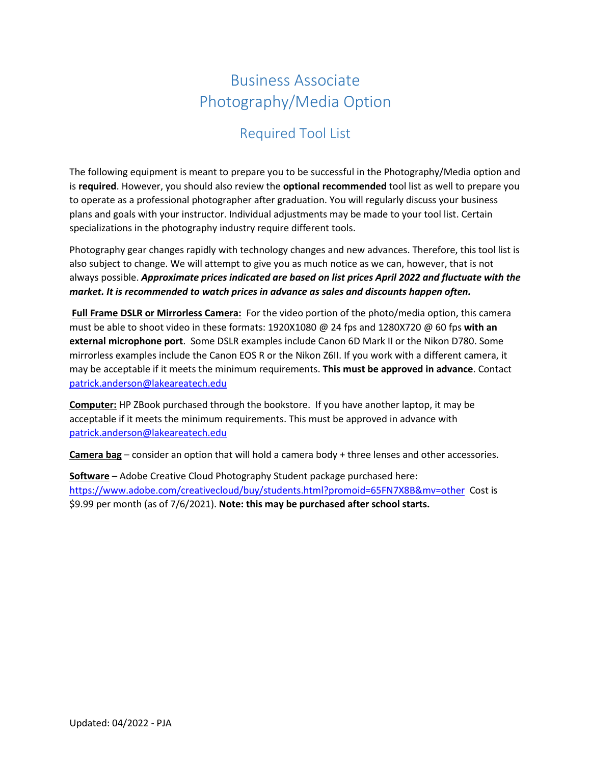# Business Associate Photography/Media Option

# Required Tool List

The following equipment is meant to prepare you to be successful in the Photography/Media option and is **required**. However, you should also review the **optional recommended** tool list as well to prepare you to operate as a professional photographer after graduation. You will regularly discuss your business plans and goals with your instructor. Individual adjustments may be made to your tool list. Certain specializations in the photography industry require different tools.

Photography gear changes rapidly with technology changes and new advances. Therefore, this tool list is also subject to change. We will attempt to give you as much notice as we can, however, that is not always possible. *Approximate prices indicated are based on list prices April 2022 and fluctuate with the market. It is recommended to watch prices in advance as sales and discounts happen often.*

**Full Frame DSLR or Mirrorless Camera:** For the video portion of the photo/media option, this camera must be able to shoot video in these formats: 1920X1080 @ 24 fps and 1280X720 @ 60 fps **with an external microphone port**. Some DSLR examples include Canon 6D Mark II or the Nikon D780. Some mirrorless examples include the Canon EOS R or the Nikon Z6II. If you work with a different camera, it may be acceptable if it meets the minimum requirements. **This must be approved in advance**. Contact [patrick.anderson@lakeareatech.edu](mailto:patrick.anderson@lakeareatech.edu) 

**Computer:** HP ZBook purchased through the bookstore. If you have another laptop, it may be acceptable if it meets the minimum requirements. This must be approved in advance with [patrick.anderson@lakeareatech.edu](mailto:patrick.anderson@lakeareatech.edu)

**Camera bag** – consider an option that will hold a camera body + three lenses and other accessories.

**Software** – Adobe Creative Cloud Photography Student package purchased here: <https://www.adobe.com/creativecloud/buy/students.html?promoid=65FN7X8B&mv=other>Cost is \$9.99 per month (as of 7/6/2021). **Note: this may be purchased after school starts.**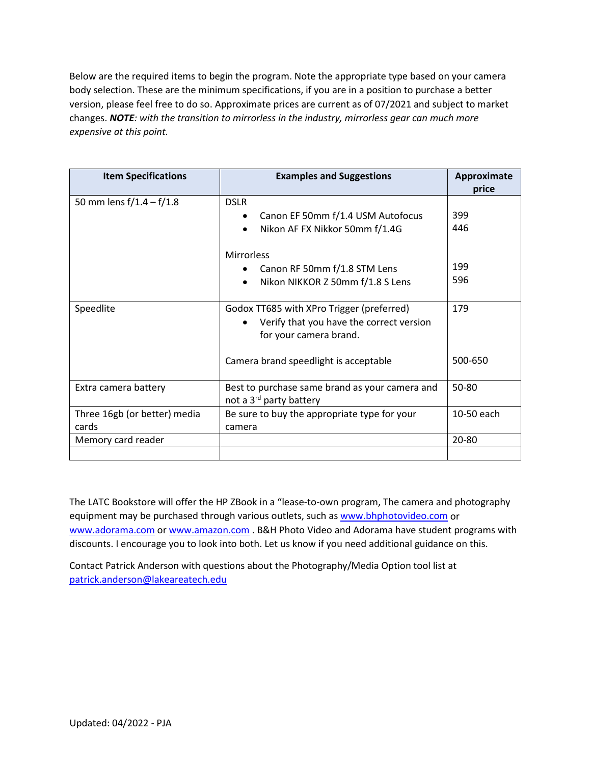Below are the required items to begin the program. Note the appropriate type based on your camera body selection. These are the minimum specifications, if you are in a position to purchase a better version, please feel free to do so. Approximate prices are current as of 07/2021 and subject to market changes. *NOTE: with the transition to mirrorless in the industry, mirrorless gear can much more expensive at this point.* 

| <b>Item Specifications</b>            | <b>Examples and Suggestions</b>                                                                                 | Approximate<br>price |
|---------------------------------------|-----------------------------------------------------------------------------------------------------------------|----------------------|
| 50 mm lens $f/1.4 - f/1.8$            | <b>DSLR</b><br>Canon EF 50mm f/1.4 USM Autofocus<br>$\bullet$<br>Nikon AF FX Nikkor 50mm f/1.4G                 | 399<br>446           |
|                                       | <b>Mirrorless</b><br>Canon RF 50mm f/1.8 STM Lens<br>Nikon NIKKOR Z 50mm f/1.8 S Lens                           | 199<br>596           |
| Speedlite                             | Godox TT685 with XPro Trigger (preferred)<br>Verify that you have the correct version<br>for your camera brand. | 179                  |
|                                       | Camera brand speedlight is acceptable                                                                           | 500-650              |
| Extra camera battery                  | Best to purchase same brand as your camera and<br>not a 3 <sup>rd</sup> party battery                           | 50-80                |
| Three 16gb (or better) media<br>cards | Be sure to buy the appropriate type for your<br>camera                                                          | 10-50 each           |
| Memory card reader                    |                                                                                                                 | 20-80                |

The LATC Bookstore will offer the HP ZBook in a "lease-to-own program, The camera and photography equipment may be purchased through various outlets, such as [www.bhphotovideo.com](http://www.bhphotovideo.com/) or [www.adorama.com](http://www.adorama.com/) or [www.amazon.com](http://www.amazon.com/)</u> . B&H Photo Video and Adorama have student programs with discounts. I encourage you to look into both. Let us know if you need additional guidance on this.

Contact Patrick Anderson with questions about the Photography/Media Option tool list at [patrick.anderson@lakeareatech.edu](mailto:patrick.anderson@lakeareatech.edu)